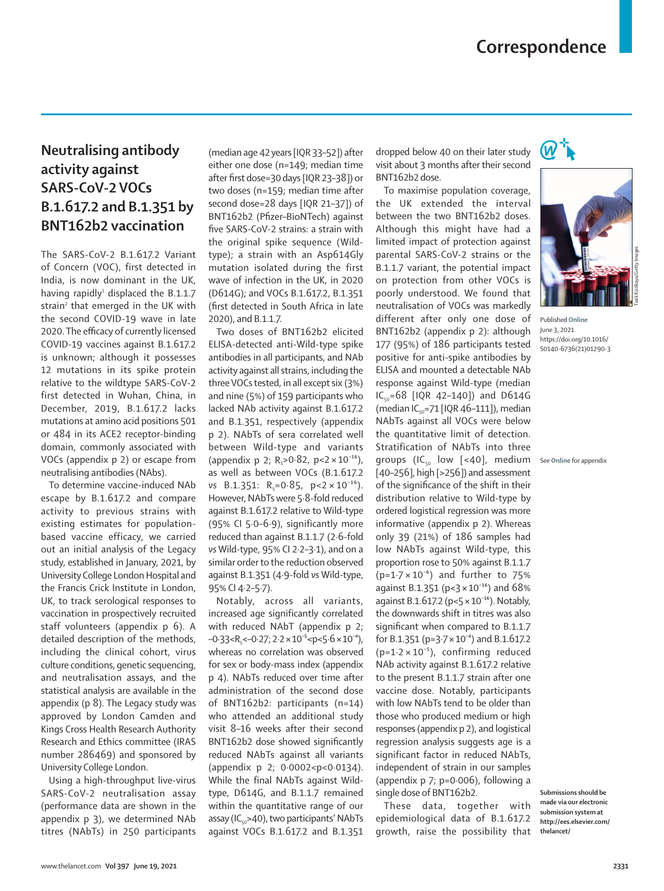## **Neutralising antibody activity against SARS-CoV-2 VOCs B.1.617.2 and B.1.351 by BNT162b2 vaccination**

The SARS-CoV-2 B.1.617.2 Variant of Concern (VOC), first detected in India, is now dominant in the UK, having rapidly<sup>1</sup> displaced the B.1.1.7 strain<sup>2</sup> that emerged in the UK with the second COVID-19 wave in late 2020. The efficacy of currently licensed COVID-19 vaccines against B.1.617.2 is unknown; although it possesses 12 mutations in its spike protein relative to the wildtype SARS-CoV-2 first detected in Wuhan, China, in December, 2019, B.1.617.2 lacks mutations at amino acid positions 501 or 484 in its ACE2 receptor-binding domain, commonly associated with VOCs (appendix p 2) or escape from neutralising antibodies (NAbs).

To determine vaccine-induced NAb escape by B.1.617.2 and compare activity to previous strains with existing estimates for populationbased vaccine efficacy, we carried out an initial analysis of the Legacy study, established in January, 2021, by University College London Hospital and the Francis Crick Institute in London, UK, to track serological responses to vaccination in prospectively recruited staff volunteers (appendix p 6). A detailed description of the methods, including the clinical cohort, virus culture conditions, genetic sequencing, and neutralisation assays, and the statistical analysis are available in the appendix (p 8). The Legacy study was approved by London Camden and Kings Cross Health Research Authority Research and Ethics committee (IRAS number 286469) and sponsored by University College London.

Using a high-throughput live-virus SARS-CoV-2 neutralisation assay (performance data are shown in the appendix p 3), we determined NAb titres (NAbTs) in 250 participants

(median age 42 years [IQR 33–52]) after either one dose (n=149; median time after first dose=30 days [IQR 23–38]) or two doses (n=159; median time after second dose=28 days [IQR 21–37]) of BNT162b2 (Pfizer–BioNTech) against five SARS-CoV-2 strains: a strain with the original spike sequence (Wildtype); a strain with an Asp614Gly mutation isolated during the first wave of infection in the UK, in 2020 (D614G); and VOCs B.1.617.2, B.1.351 (first detected in South Africa in late 2020), and B.1.1.7.

Two doses of BNT162b2 elicited ELISA-detected anti-Wild-type spike antibodies in all participants, and NAb activity against all strains, including the three VOCs tested, in all except six (3%) and nine (5%) of 159 participants who lacked NAb activity against B.1.617.2 and B.1.351, respectively (appendix p 2). NAbTs of sera correlated well between Wild-type and variants (appendix p 2;  $R_5 > 0.82$ ,  $p < 2 \times 10^{-16}$ ), as well as between VOCs (B.1.617.2 *vs* B.1.351:  $R_s = 0.85$ ,  $p < 2 \times 10^{-16}$ ). However, NAbTs were 5·8-fold reduced against B.1.617.2 relative to Wild-type (95% CI 5·0–6·9), significantly more reduced than against B.1.1.7 (2·6-fold *vs* Wild-type, 95% CI 2·2–3·1), and on a similar order to the reduction observed against B.1.351 (4·9-fold *vs* Wild-type, 95% CI 4·2–5·7).

Notably, across all variants, increased age significantly correlated with reduced NAbT (appendix p 2;  $-0.33 < R<sub>s</sub> < -0.27$ ;  $2.2 \times 10^{-5} < p < 5.6 \times 10^{-4}$ ), whereas no correlation was observed for sex or body-mass index (appendix p 4). NAbTs reduced over time after administration of the second dose of BNT162b2: participants (n=14) who attended an additional study visit 8–16 weeks after their second BNT162b2 dose showed significantly reduced NAbTs against all variants (appendix p 2; 0·0002<p<0·0134). While the final NAbTs against Wildtype, D614G, and B.1.1.7 remained within the quantitative range of our assay ( $IC_{50}$ >40), two participants' NAbTs against VOCs B.1.617.2 and B.1.351

dropped below 40 on their later study visit about 3 months after their second BNT162b2 dose.

To maximise population coverage, the UK extended the interval between the two BNT162b2 doses. Although this might have had a limited impact of protection against parental SARS-CoV-2 strains or the B.1.1.7 variant, the potential impact on protection from other VOCs is poorly understood. We found that neutralisation of VOCs was markedly different after only one dose of BNT162b2 (appendix p 2): although 177 (95%) of 186 participants tested positive for anti-spike antibodies by ELISA and mounted a detectable NAb response against Wild-type (median  $IC_{0.0} = 68$  [IOR 42-140]) and D614G (median IC $_{50}$ =71 [IQR 46–111]), median NAbTs against all VOCs were below the quantitative limit of detection. Stratification of NAbTs into three groups (IC $_{50}$  low [<40], medium [40-256], high [>256]) and assessment of the significance of the shift in their distribution relative to Wild-type by ordered logistical regression was more informative (appendix p 2). Whereas only 39 (21%) of 186 samples had low NAbTs against Wild-type, this proportion rose to 50% against B.1.1.7  $(p=1.7 \times 10^{-6})$  and further to 75% against B.1.351 ( $p < 3 \times 10^{-16}$ ) and 68% against B.1.617.2 ( $p < 5 \times 10^{-16}$ ). Notably, the downwards shift in titres was also significant when compared to B.1.1.7 for B.1.351 (p=3 $-7 \times 10^{-4}$ ) and B.1.617.2  $(p=1.2 \times 10^{-5})$ , confirming reduced NAb activity against B.1.617.2 relative to the present B.1.1.7 strain after one vaccine dose. Notably, participants with low NAbTs tend to be older than those who produced medium or high responses (appendix p 2), and logistical regression analysis suggests age is a significant factor in reduced NAbTs, independent of strain in our samples (appendix p 7; p=0·006), following a single dose of BNT162b2.

These data, together with epidemiological data of B.1.617.2 growth, raise the possibility that





Published **Online** June 3, 2021 https://doi.org/10.1016/ S0140-6736(21)01290-3

See **Online** for appendix

**Submissions should be made via our electronic submission system at http://ees.elsevier.com/ thelancet/**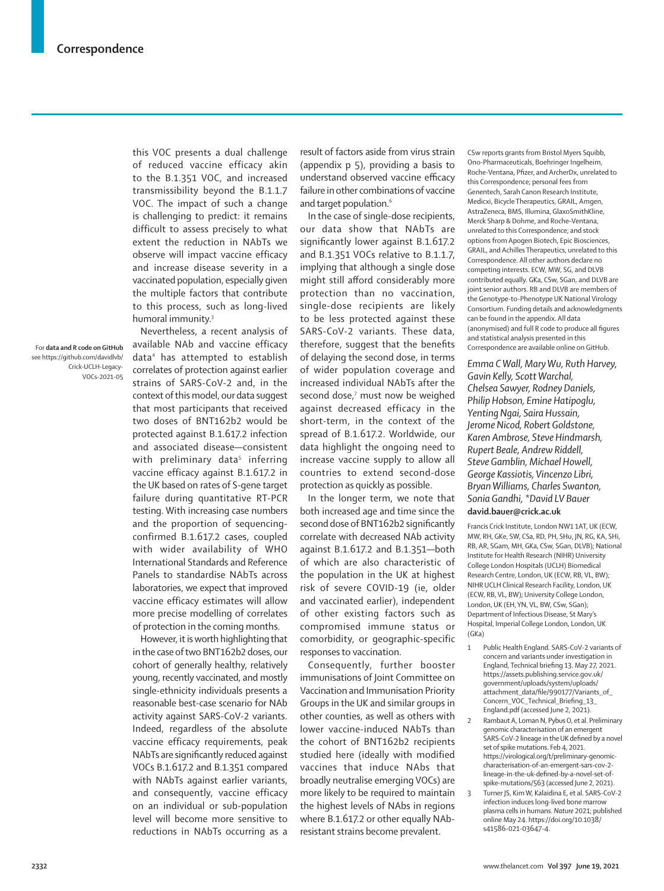this VOC presents a dual challenge of reduced vaccine efficacy akin to the B.1.351 VOC, and increased transmissibility beyond the B.1.1.7 VOC. The impact of such a change is challenging to predict: it remains difficult to assess precisely to what extent the reduction in NAbTs we observe will impact vaccine efficacy and increase disease severity in a vaccinated population, especially given the multiple factors that contribute to this process, such as long-lived humoral immunity.<sup>3</sup>

For **data and R code on GitHub** see https://github.com/davidlvb/ Crick-UCLH-Legacy-VOCs-2021-05

Nevertheless, a recent analysis of available NAb and vaccine efficacy data4 has attempted to establish correlates of protection against earlier strains of SARS-CoV-2 and, in the context of this model, our data suggest that most participants that received two doses of BNT162b2 would be protected against B.1.617.2 infection and associated disease—consistent with preliminary data<sup>5</sup> inferring vaccine efficacy against B.1.617.2 in the UK based on rates of S-gene target failure during quantitative RT-PCR testing. With increasing case numbers and the proportion of sequencingconfirmed B.1.617.2 cases, coupled with wider availability of WHO International Standards and Reference Panels to standardise NAbTs across laboratories, we expect that improved vaccine efficacy estimates will allow more precise modelling of correlates of protection in the coming months.

However, it is worth highlighting that in the case of two BNT162b2 doses, our cohort of generally healthy, relatively young, recently vaccinated, and mostly single-ethnicity individuals presents a reasonable best-case scenario for NAb activity against SARS-CoV-2 variants. Indeed, regardless of the absolute vaccine efficacy requirements, peak NAbTs are significantly reduced against VOCs B.1.617.2 and B.1.351 compared with NAbTs against earlier variants, and consequently, vaccine efficacy on an individual or sub-population level will become more sensitive to reductions in NAbTs occurring as a

result of factors aside from virus strain (appendix p 5), providing a basis to understand observed vaccine efficacy failure in other combinations of vaccine and target population.<sup>6</sup>

In the case of single-dose recipients, our data show that NAbTs are significantly lower against B.1.617.2 and B.1.351 VOCs relative to B.1.1.7, implying that although a single dose might still afford considerably more protection than no vaccination, single-dose recipients are likely to be less protected against these SARS-CoV-2 variants. These data, therefore, suggest that the benefits of delaying the second dose, in terms of wider population coverage and increased individual NAbTs after the second dose,<sup>7</sup> must now be weighed against decreased efficacy in the short-term, in the context of the spread of B.1.617.2. Worldwide, our data highlight the ongoing need to increase vaccine supply to allow all countries to extend second-dose protection as quickly as possible.

In the longer term, we note that both increased age and time since the second dose of BNT162b2 significantly correlate with decreased NAb activity against B.1.617.2 and B.1.351—both of which are also characteristic of the population in the UK at highest risk of severe COVID-19 (ie, older and vaccinated earlier), independent of other existing factors such as compromised immune status or comorbidity, or geographic-specific responses to vaccination.

Consequently, further booster immunisations of Joint Committee on Vaccination and Immunisation Priority Groups in the UK and similar groups in other counties, as well as others with lower vaccine-induced NAbTs than the cohort of BNT162b2 recipients studied here (ideally with modified vaccines that induce NAbs that broadly neutralise emerging VOCs) are more likely to be required to maintain the highest levels of NAbs in regions where B.1.617.2 or other equally NAbresistant strains become prevalent.

CSw reports grants from Bristol Myers Squibb, Ono-Pharmaceuticals, Boehringer Ingelheim, Roche-Ventana, Pfizer, and ArcherDx, unrelated to this Correspondence; personal fees from Genentech, Sarah Canon Research Institute, Medicxi, Bicycle Therapeutics, GRAIL, Amgen, AstraZeneca, BMS, Illumina, GlaxoSmithKline, Merck Sharp & Dohme, and Roche–Ventana, unrelated to this Correspondence; and stock options from Apogen Biotech, Epic Biosciences, GRAIL, and Achilles Therapeutics, unrelated to this Correspondence. All other authors declare no competing interests. ECW, MW, SG, and DLVB contributed equally. GKa, CSw, SGan, and DLVB are joint senior authors. RB and DLVB are members of the Genotype-to-Phenotype UK National Virology Consortium. Funding details and acknowledgments can be found in the appendix. All data (anonymised) and full R code to produce all figures and statistical analysis presented in this Correspondence are available online on GitHub.

*Emma C Wall, Mary Wu, Ruth Harvey, Gavin Kelly, Scott Warchal, Chelsea Sawyer, Rodney Daniels, Philip Hobson, Emine Hatipoglu, Yenting Ngai, Saira Hussain, Jerome Nicod, Robert Goldstone, Karen Ambrose, Steve Hindmarsh, Rupert Beale, Andrew Riddell, Steve Gamblin, Michael Howell, George Kassiotis, Vincenzo Libri, Bryan Williams, Charles Swanton, Sonia Gandhi, \*David LV Bauer* **david.bauer@crick.ac.uk**

Francis Crick Institute, London NW1 1AT, UK (ECW, MW, RH, GKe, SW, CSa, RD, PH, SHu, JN, RG, KA, SHi, RB, AR, SGam, MH, GKa, CSw, SGan, DLVB); National Institute for Health Research (NIHR) University College London Hospitals (UCLH) Biomedical Research Centre, London, UK (ECW, RB, VL, BW); NIHR UCLH Clinical Research Facility, London, UK (ECW, RB, VL, BW); University College London, London, UK (EH, YN, VL, BW, CSw, SGan); Department of Infectious Disease, St Mary's Hospital, Imperial College London, London, UK (GKa)

- 1 Public Health England. SARS-CoV-2 variants of concern and variants under investigation in England, Technical briefing 13. May 27, 2021. https://assets.publishing.service.gov.uk/ government/uploads/system/uploads/ attachment\_data/file/990177/Variants\_of\_ Concern\_VOC\_Technical\_Briefing\_13\_ England.pdf (accessed June 2, 2021).
- 2 Rambaut A, Loman N, Pybus O, et al. Preliminary genomic characterisation of an emergent SARS-CoV-2 lineage in the UK defined by a novel set of spike mutations. Feb 4, 2021. https://virological.org/t/preliminary-genomiccharacterisation-of-an-emergent-sars-cov-2 lineage-in-the-uk-defined-by-a-novel-set-ofspike-mutations/563 (accessed June 2, 2021).
- 3 Turner JS, Kim W, Kalaidina E, et al. SARS-CoV-2 infection induces long-lived bone marrow plasma cells in humans. *Nature* 2021; published online May 24. https://doi.org/10.1038/ s41586-021-03647-4.